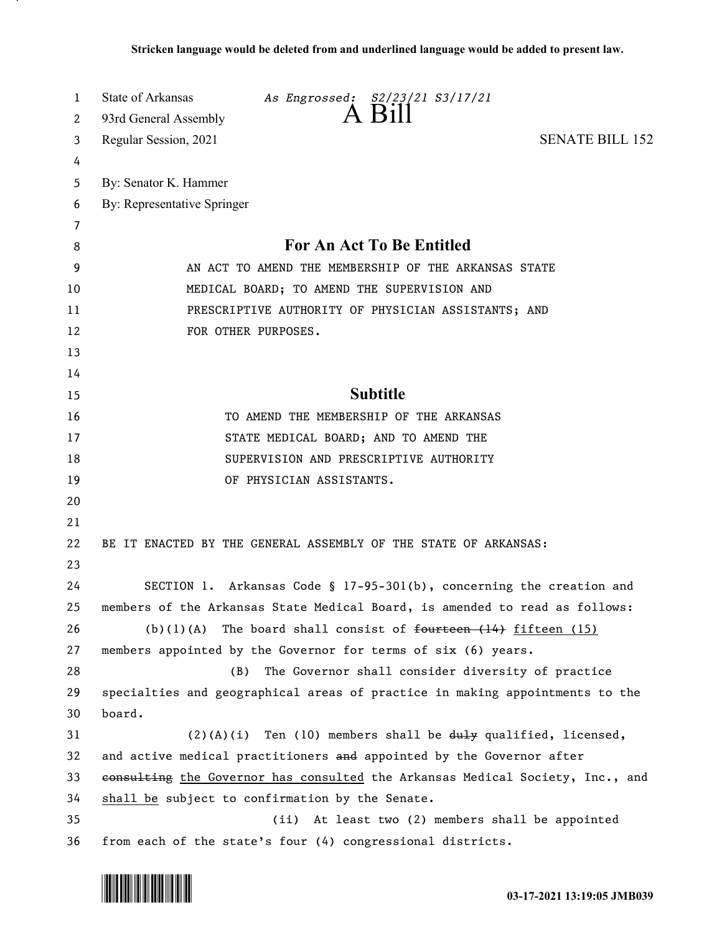| 1        | State of Arkansas<br>As Engrossed: S2/23/21 S3/17/21<br>A Bill                |
|----------|-------------------------------------------------------------------------------|
| 2        | 93rd General Assembly                                                         |
| 3        | <b>SENATE BILL 152</b><br>Regular Session, 2021                               |
| 4        |                                                                               |
| 5        | By: Senator K. Hammer                                                         |
| 6        | By: Representative Springer                                                   |
| 7        | <b>For An Act To Be Entitled</b>                                              |
| 8        |                                                                               |
| 9        | AN ACT TO AMEND THE MEMBERSHIP OF THE ARKANSAS STATE                          |
| 10       | MEDICAL BOARD; TO AMEND THE SUPERVISION AND                                   |
| 11       | PRESCRIPTIVE AUTHORITY OF PHYSICIAN ASSISTANTS; AND                           |
| 12       | FOR OTHER PURPOSES.                                                           |
| 13<br>14 |                                                                               |
| 15       | <b>Subtitle</b>                                                               |
| 16       | TO AMEND THE MEMBERSHIP OF THE ARKANSAS                                       |
| 17       | STATE MEDICAL BOARD; AND TO AMEND THE                                         |
| 18       | SUPERVISION AND PRESCRIPTIVE AUTHORITY                                        |
| 19       | OF PHYSICIAN ASSISTANTS.                                                      |
| 20       |                                                                               |
| 21       |                                                                               |
| 22       | BE IT ENACTED BY THE GENERAL ASSEMBLY OF THE STATE OF ARKANSAS:               |
| 23       |                                                                               |
| 24       | SECTION 1. Arkansas Code § 17-95-301(b), concerning the creation and          |
| 25       | members of the Arkansas State Medical Board, is amended to read as follows:   |
| 26       | (b)(1)(A) The board shall consist of $f$ ourteen $(14)$ fifteen $(15)$        |
| 27       | members appointed by the Governor for terms of six (6) years.                 |
| 28       | The Governor shall consider diversity of practice<br>(B)                      |
| 29       | specialties and geographical areas of practice in making appointments to the  |
| 30       | board.                                                                        |
| 31       | $(2)(A)(i)$ Ten (10) members shall be $du+y$ qualified, licensed,             |
| 32       | and active medical practitioners and appointed by the Governor after          |
| 33       | consulting the Governor has consulted the Arkansas Medical Society, Inc., and |
| 34       | shall be subject to confirmation by the Senate.                               |
| 35       | At least two (2) members shall be appointed<br>(ii)                           |
| 36       | from each of the state's four (4) congressional districts.                    |

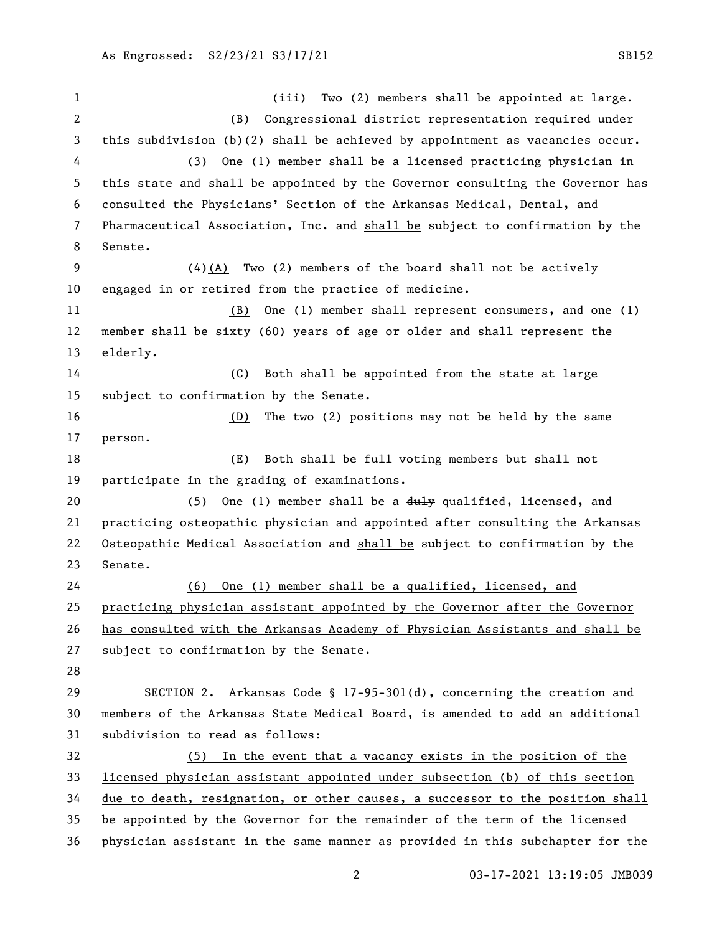1 (iii) Two (2) members shall be appointed at large. (B) Congressional district representation required under this subdivision (b)(2) shall be achieved by appointment as vacancies occur. (3) One (1) member shall be a licensed practicing physician in 5 this state and shall be appointed by the Governor eonsulting the Governor has consulted the Physicians' Section of the Arkansas Medical, Dental, and Pharmaceutical Association, Inc. and shall be subject to confirmation by the Senate. (4)(A) Two (2) members of the board shall not be actively engaged in or retired from the practice of medicine. (B) One (1) member shall represent consumers, and one (1) member shall be sixty (60) years of age or older and shall represent the elderly. (C) Both shall be appointed from the state at large subject to confirmation by the Senate. (D) The two (2) positions may not be held by the same person. (E) Both shall be full voting members but shall not participate in the grading of examinations. 20 (5) One (1) member shall be a duly qualified, licensed, and 21 practicing osteopathic physician and appointed after consulting the Arkansas Osteopathic Medical Association and shall be subject to confirmation by the Senate. (6) One (1) member shall be a qualified, licensed, and practicing physician assistant appointed by the Governor after the Governor has consulted with the Arkansas Academy of Physician Assistants and shall be subject to confirmation by the Senate. SECTION 2. Arkansas Code § 17-95-301(d), concerning the creation and members of the Arkansas State Medical Board, is amended to add an additional subdivision to read as follows: (5) In the event that a vacancy exists in the position of the licensed physician assistant appointed under subsection (b) of this section due to death, resignation, or other causes, a successor to the position shall be appointed by the Governor for the remainder of the term of the licensed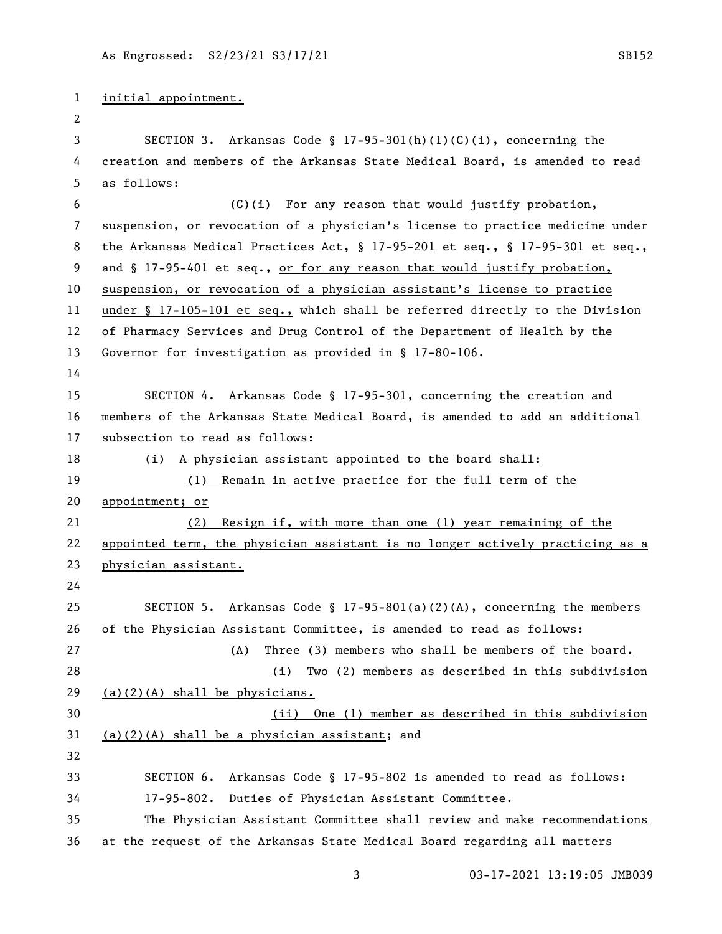```
1 initial appointment.
 2
 3 SECTION 3. Arkansas Code § 17-95-301(h)(1)(C)(i), concerning the 
4 creation and members of the Arkansas State Medical Board, is amended to read 
5 as follows:
 6 (C)(i) For any reason that would justify probation, 
7 suspension, or revocation of a physician's license to practice medicine under 
8 the Arkansas Medical Practices Act, § 17-95-201 et seq., § 17-95-301 et seq., 
9 and § 17-95-401 et seq., or for any reason that would justify probation,
10 suspension, or revocation of a physician assistant's license to practice 
11 under § 17-105-101 et seq., which shall be referred directly to the Division 
12 of Pharmacy Services and Drug Control of the Department of Health by the 
13 Governor for investigation as provided in § 17-80-106.
14
15 SECTION 4. Arkansas Code § 17-95-301, concerning the creation and 
16 members of the Arkansas State Medical Board, is amended to add an additional 
17 subsection to read as follows:
18 (i) A physician assistant appointed to the board shall:
19 (1) Remain in active practice for the full term of the 
20 appointment; or
21 (2) Resign if, with more than one (1) year remaining of the 
22 appointed term, the physician assistant is no longer actively practicing as a 
23 physician assistant.
24
25 SECTION 5. Arkansas Code § 17-95-801(a)(2)(A), concerning the members 
26 of the Physician Assistant Committee, is amended to read as follows:
27 (A) Three (3) members who shall be members of the board.
28 (i) Two (2) members as described in this subdivision 
29 (a)(2)(A) shall be physicians.
30 (ii) One (1) member as described in this subdivision 
31 (a)(2)(A) shall be a physician assistant; and
32
33 SECTION 6. Arkansas Code § 17-95-802 is amended to read as follows:
34 17-95-802. Duties of Physician Assistant Committee.
35 The Physician Assistant Committee shall review and make recommendations 
36 at the request of the Arkansas State Medical Board regarding all matters
```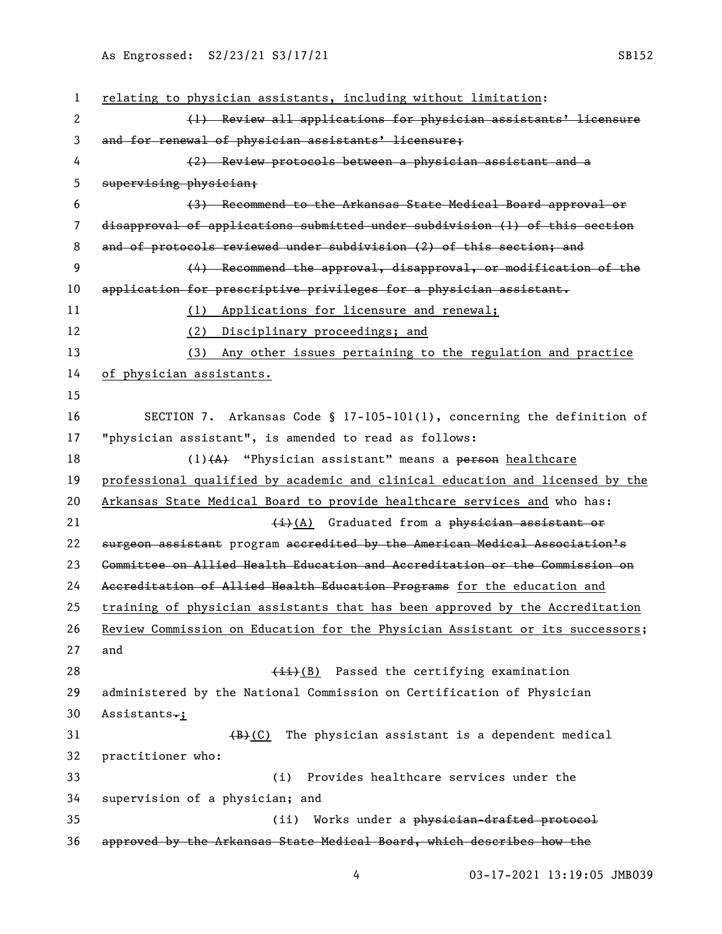| $\mathbf{1}$ | relating to physician assistants, including without limitation:               |
|--------------|-------------------------------------------------------------------------------|
| 2            | (1) Review all applications for physician assistants' licensure               |
| 3            | and for renewal of physician assistants' licensure;                           |
| 4            | (2) Review protocols between a physician assistant and a                      |
| 5            | supervising physician;                                                        |
| 6            | (3) Recommend to the Arkansas State Medical Board approval or                 |
| 7            | disapproval of applications submitted under subdivision (1) of this section   |
| 8            | and of protocols reviewed under subdivision (2) of this section; and          |
| 9            | (4) Recommend the approval, disapproval, or modification of the               |
| 10           | application for prescriptive privileges for a physician assistant.            |
| 11           | (1) Applications for licensure and renewal;                                   |
| 12           | (2) Disciplinary proceedings; and                                             |
| 13           | (3) Any other issues pertaining to the regulation and practice                |
| 14           | of physician assistants.                                                      |
| 15           |                                                                               |
| 16           | SECTION 7. Arkansas Code § 17-105-101(1), concerning the definition of        |
| 17           | "physician assistant", is amended to read as follows:                         |
| 18           | $(1)$ $(A)$ "Physician assistant" means a person healthcare                   |
| 19           | professional qualified by academic and clinical education and licensed by the |
| 20           | Arkansas State Medical Board to provide healthcare services and who has:      |
| 21           | $\frac{1}{2}$ Graduated from a physician assistant or                         |
| 22           | surgeon assistant program accredited by the American Medical Association's    |
| 23           | Committee on Allied Health Education and Accreditation or the Commission on   |
| 24           | Accreditation of Allied Health Education Programs for the education and       |
| 25           | training of physician assistants that has been approved by the Accreditation  |
| 26           | Review Commission on Education for the Physician Assistant or its successors; |
| 27           | and                                                                           |
| 28           | $(iii)(B)$ Passed the certifying examination                                  |
| 29           | administered by the National Commission on Certification of Physician         |
| 30           | Assistants.;                                                                  |
| 31           | The physician assistant is a dependent medical<br>(B)(C)                      |
| 32           | practitioner who:                                                             |
| 33           | Provides healthcare services under the<br>(i)                                 |
| 34           | supervision of a physician; and                                               |
| 35           | Works under a physician-drafted protocol<br>(ii)                              |
| 36           | approved by the Arkansas State Medical Board, which describes how the         |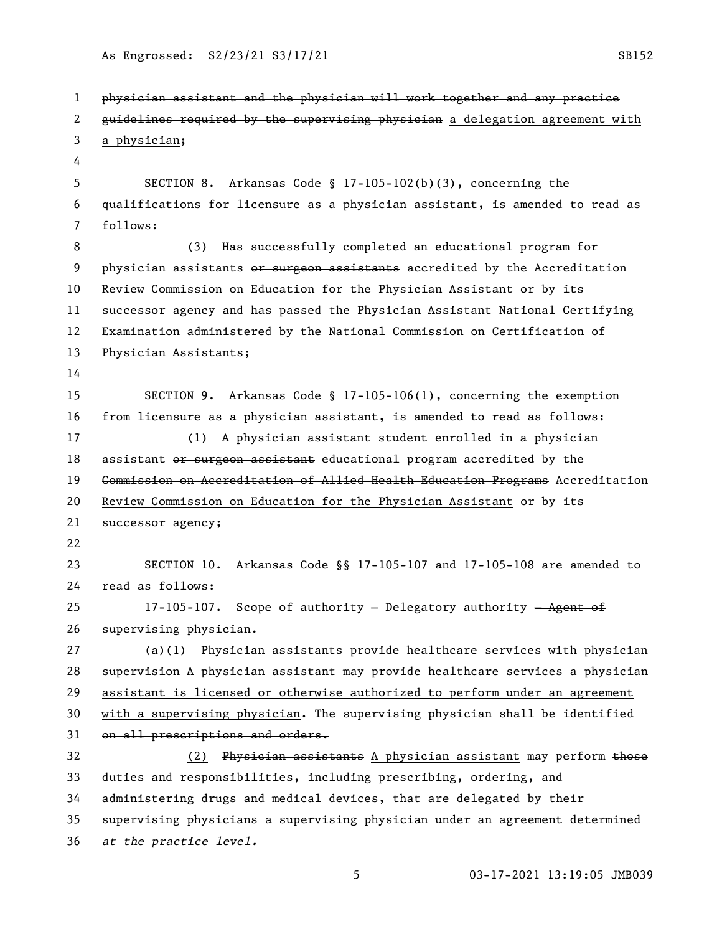As Engrossed: S2/23/21 S3/17/21 SB152

 physician assistant and the physician will work together and any practice 2 guidelines required by the supervising physician a delegation agreement with a physician; SECTION 8. Arkansas Code § 17-105-102(b)(3), concerning the qualifications for licensure as a physician assistant, is amended to read as follows: (3) Has successfully completed an educational program for 9 physician assistants or surgeon assistants accredited by the Accreditation Review Commission on Education for the Physician Assistant or by its successor agency and has passed the Physician Assistant National Certifying Examination administered by the National Commission on Certification of Physician Assistants; SECTION 9. Arkansas Code § 17-105-106(1), concerning the exemption from licensure as a physician assistant, is amended to read as follows: (1) A physician assistant student enrolled in a physician 18 assistant or surgeon assistant educational program accredited by the 19 <del>Commission on Accreditation of Allied Health Education Programs</del> Accreditation Review Commission on Education for the Physician Assistant or by its successor agency; SECTION 10. Arkansas Code §§ 17-105-107 and 17-105-108 are amended to read as follows: 25 17-105-107. Scope of authority - Delegatory authority - Agent of supervising physician. 27 (a)(1) Physician assistants provide healthcare services with physician 28 supervision A physician assistant may provide healthcare services a physician assistant is licensed or otherwise authorized to perform under an agreement 30 with a supervising physician. The supervising physician shall be identified 31 on all prescriptions and orders. 32 (2) Physician assistants A physician assistant may perform those duties and responsibilities, including prescribing, ordering, and 34 administering drugs and medical devices, that are delegated by their 35 supervising physicians a supervising physician under an agreement determined *at the practice level.*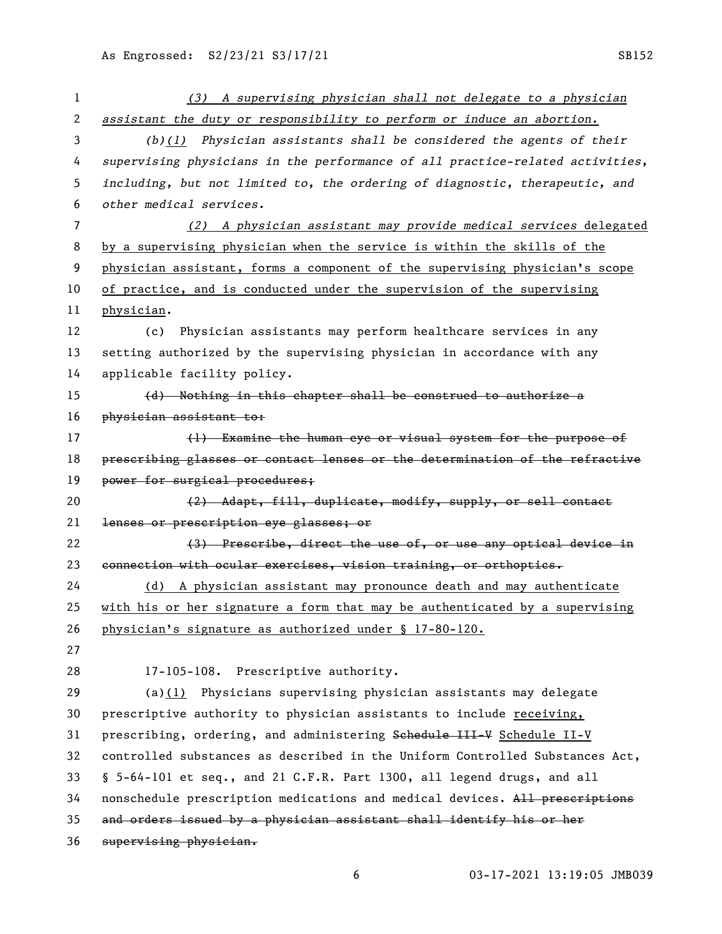| 1                     | (3) A supervising physician shall not delegate to a physician                 |
|-----------------------|-------------------------------------------------------------------------------|
| $\mathbf{2}^{\prime}$ | assistant the duty or responsibility to perform or induce an abortion.        |
| 3                     | $(b)(1)$ Physician assistants shall be considered the agents of their         |
| 4                     | supervising physicians in the performance of all practice-related activities, |
| 5                     | including, but not limited to, the ordering of diagnostic, therapeutic, and   |
| 6                     | other medical services.                                                       |
| 7                     | (2) A physician assistant may provide medical services delegated              |
| 8                     | by a supervising physician when the service is within the skills of the       |
| 9                     | physician assistant, forms a component of the supervising physician's scope   |
| 10                    | of practice, and is conducted under the supervision of the supervising        |
| 11                    | physician.                                                                    |
| 12                    | Physician assistants may perform healthcare services in any<br>(c)            |
| 13                    | setting authorized by the supervising physician in accordance with any        |
| 14                    | applicable facility policy.                                                   |
| 15                    | (d) Nothing in this chapter shall be construed to authorize a                 |
| 16                    | physician assistant to:                                                       |
| 17                    | (1) Examine the human eye or visual system for the purpose of                 |
| 18                    | prescribing glasses or contact lenses or the determination of the refractive  |
| 19                    | power for surgical procedures;                                                |
| 20                    | (2) Adapt, fill, duplicate, modify, supply, or sell contact                   |
| 21                    | lenses or prescription eye glasses; or                                        |
| 22                    | (3) Prescribe, direct the use of, or use any optical device in                |
| 23                    | connection with ocular exercises, vision training, or orthoptics.             |
| 24                    | (d) A physician assistant may pronounce death and may authenticate            |
| 25                    | with his or her signature a form that may be authenticated by a supervising   |
| 26                    | physician's signature as authorized under § 17-80-120.                        |
| 27                    |                                                                               |
| 28                    | $17 - 105 - 108$ .<br>Prescriptive authority.                                 |
| 29                    | (a) $(1)$ Physicians supervising physician assistants may delegate            |
| 30                    | prescriptive authority to physician assistants to include receiving,          |
| 31                    | prescribing, ordering, and administering Schedule III-V Schedule II-V         |
| 32                    | controlled substances as described in the Uniform Controlled Substances Act,  |
| 33                    | § 5-64-101 et seq., and 21 C.F.R. Part 1300, all legend drugs, and all        |
| 34                    | nonschedule prescription medications and medical devices. All prescriptions   |
| 35                    | and orders issued by a physician assistant shall identify his or her          |
| 36                    | supervising physician.                                                        |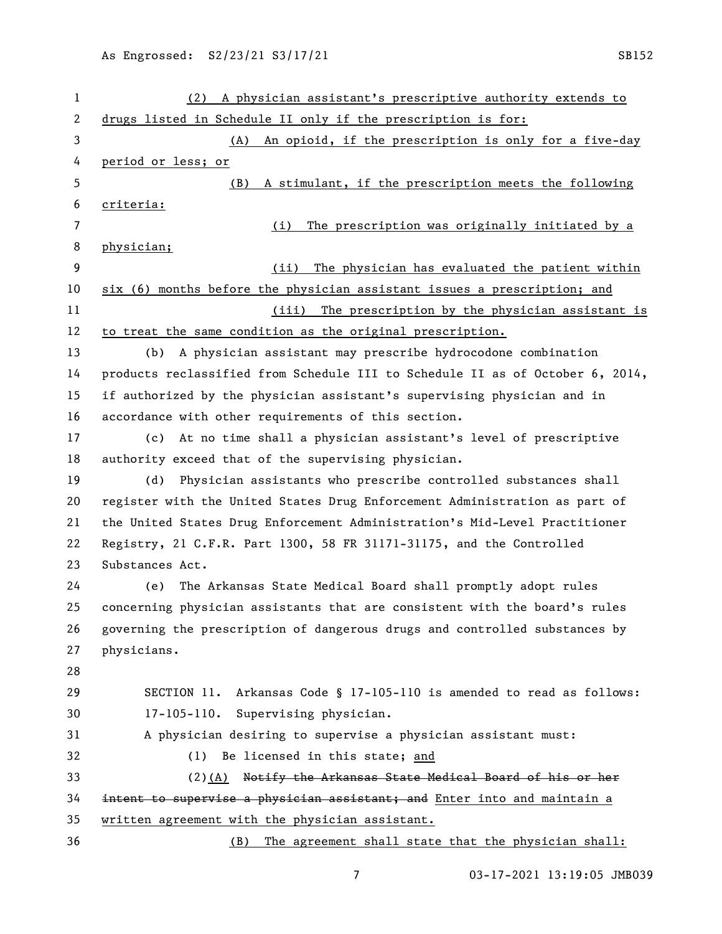| 1  | (2) A physician assistant's prescriptive authority extends to                 |
|----|-------------------------------------------------------------------------------|
| 2  | drugs listed in Schedule II only if the prescription is for:                  |
| 3  | An opioid, if the prescription is only for a five-day<br>(A)                  |
| 4  | period or less; or                                                            |
| 5  | A stimulant, if the prescription meets the following<br>(B)                   |
| 6  | criteria:                                                                     |
| 7  | The prescription was originally initiated by a<br>(i)                         |
| 8  | physician;                                                                    |
| 9  | The physician has evaluated the patient within<br>(ii)                        |
| 10 | six (6) months before the physician assistant issues a prescription; and      |
| 11 | (iii) The prescription by the physician assistant is                          |
| 12 | to treat the same condition as the original prescription.                     |
| 13 | A physician assistant may prescribe hydrocodone combination<br>(b)            |
| 14 | products reclassified from Schedule III to Schedule II as of October 6, 2014, |
| 15 | if authorized by the physician assistant's supervising physician and in       |
| 16 | accordance with other requirements of this section.                           |
| 17 | At no time shall a physician assistant's level of prescriptive<br>(c)         |
| 18 | authority exceed that of the supervising physician.                           |
| 19 | Physician assistants who prescribe controlled substances shall<br>(d)         |
| 20 | register with the United States Drug Enforcement Administration as part of    |
| 21 | the United States Drug Enforcement Administration's Mid-Level Practitioner    |
| 22 | Registry, 21 C.F.R. Part 1300, 58 FR 31171-31175, and the Controlled          |
| 23 | Substances Act.                                                               |
| 24 | The Arkansas State Medical Board shall promptly adopt rules<br>(e)            |
| 25 | concerning physician assistants that are consistent with the board's rules    |
| 26 | governing the prescription of dangerous drugs and controlled substances by    |
| 27 | physicians.                                                                   |
| 28 |                                                                               |
| 29 | SECTION 11. Arkansas Code § 17-105-110 is amended to read as follows:         |
| 30 | Supervising physician.<br>$17 - 105 - 110.$                                   |
| 31 | A physician desiring to supervise a physician assistant must:                 |
| 32 | (1) Be licensed in this state; and                                            |
| 33 | (2) (A) Notify the Arkansas State Medical Board of his or her                 |
| 34 | intent to supervise a physician assistant; and Enter into and maintain a      |
| 35 | written agreement with the physician assistant.                               |
| 36 | (B) The agreement shall state that the physician shall:                       |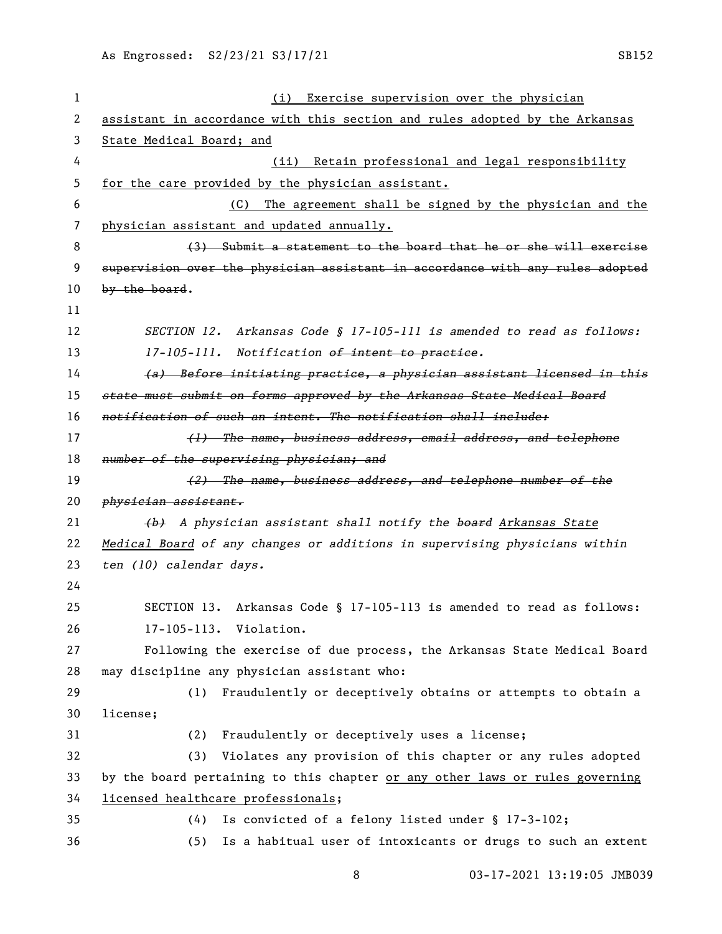| 1  | (i) Exercise supervision over the physician                                   |
|----|-------------------------------------------------------------------------------|
| 2  | assistant in accordance with this section and rules adopted by the Arkansas   |
| 3  | State Medical Board; and                                                      |
| 4  | Retain professional and legal responsibility<br>(ii)                          |
| 5  | for the care provided by the physician assistant.                             |
| 6  | The agreement shall be signed by the physician and the<br>(C)                 |
| 7  | physician assistant and updated annually.                                     |
| 8  | (3) Submit a statement to the board that he or she will exercise              |
| 9  | supervision over the physician assistant in accordance with any rules adopted |
| 10 | by the board.                                                                 |
| 11 |                                                                               |
| 12 | SECTION 12. Arkansas Code § 17-105-111 is amended to read as follows:         |
| 13 | 17-105-111. Notification of intent to practice.                               |
| 14 | (a) Before initiating practice, a physician assistant licensed in this        |
| 15 | state must submit on forms approved by the Arkansas State Medical Board       |
| 16 | notification of such an intent. The notification shall include:               |
| 17 | (1) The name, business address, email address, and telephone                  |
| 18 | number of the supervising physician; and                                      |
| 19 | (2) The name, business address, and telephone number of the                   |
| 20 | physician assistant.                                                          |
| 21 | (b) A physician assistant shall notify the board Arkansas State               |
| 22 | Medical Board of any changes or additions in supervising physicians within    |
| 23 |                                                                               |
|    | ten (10) calendar days.                                                       |
| 24 |                                                                               |
| 25 | SECTION 13. Arkansas Code § 17-105-113 is amended to read as follows:         |
| 26 | 17-105-113. Violation.                                                        |
| 27 | Following the exercise of due process, the Arkansas State Medical Board       |
| 28 | may discipline any physician assistant who:                                   |
| 29 | Fraudulently or deceptively obtains or attempts to obtain a<br>(1)            |
| 30 | license;                                                                      |
| 31 | Fraudulently or deceptively uses a license;<br>(2)                            |
| 32 | Violates any provision of this chapter or any rules adopted<br>(3)            |
| 33 | by the board pertaining to this chapter or any other laws or rules governing  |
| 34 | licensed healthcare professionals;                                            |
| 35 | Is convicted of a felony listed under § 17-3-102;<br>(4)                      |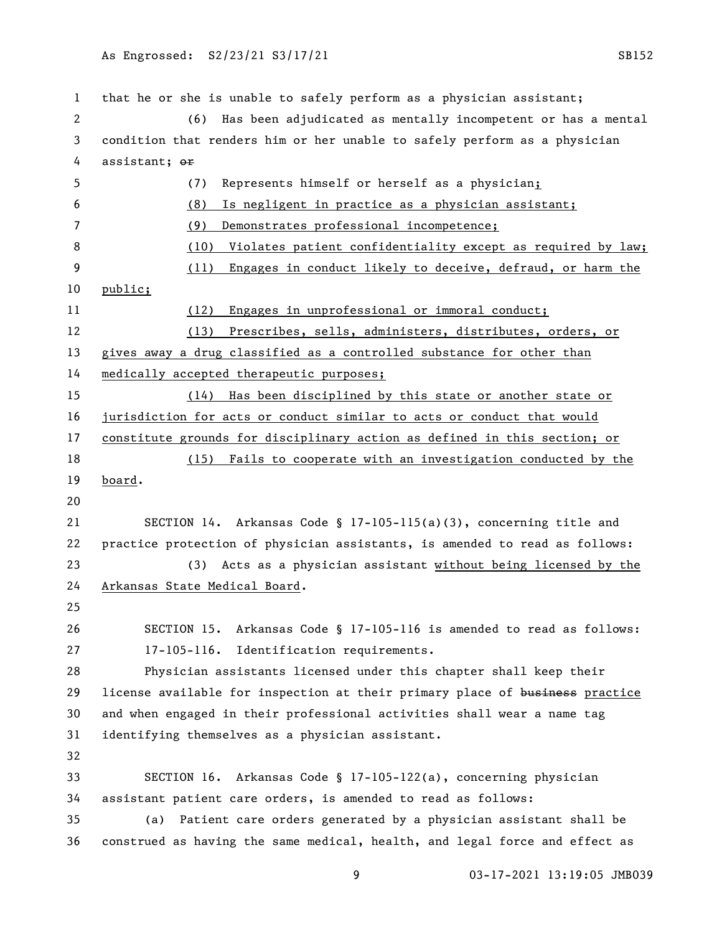that he or she is unable to safely perform as a physician assistant; (6) Has been adjudicated as mentally incompetent or has a mental condition that renders him or her unable to safely perform as a physician 4 assistant;  $\theta$ r (7) Represents himself or herself as a physician; (8) Is negligent in practice as a physician assistant; (9) Demonstrates professional incompetence; 8 (10) Violates patient confidentiality except as required by law; (11) Engages in conduct likely to deceive, defraud, or harm the public; (12) Engages in unprofessional or immoral conduct; (13) Prescribes, sells, administers, distributes, orders, or gives away a drug classified as a controlled substance for other than medically accepted therapeutic purposes; (14) Has been disciplined by this state or another state or jurisdiction for acts or conduct similar to acts or conduct that would constitute grounds for disciplinary action as defined in this section; or (15) Fails to cooperate with an investigation conducted by the board. SECTION 14. Arkansas Code § 17-105-115(a)(3), concerning title and practice protection of physician assistants, is amended to read as follows: (3) Acts as a physician assistant without being licensed by the Arkansas State Medical Board. SECTION 15. Arkansas Code § 17-105-116 is amended to read as follows: 17-105-116. Identification requirements. Physician assistants licensed under this chapter shall keep their 29 license available for inspection at their primary place of business practice and when engaged in their professional activities shall wear a name tag identifying themselves as a physician assistant. SECTION 16. Arkansas Code § 17-105-122(a), concerning physician assistant patient care orders, is amended to read as follows: (a) Patient care orders generated by a physician assistant shall be construed as having the same medical, health, and legal force and effect as